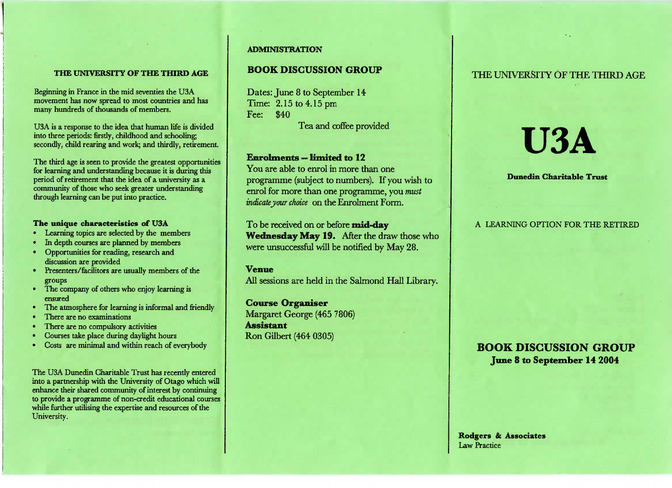#### **THE UNIVERSITY OF THE THIRD AGE**

Beginning in France in the mid seventies the USA movement has now spread to most countries and hasmany hundreds of thousands of members.

USA is a response to the idea that human life is dividedinto three periods: firstly, childhood and schooling;secondly, child rearing and work; and thirdly, retirement.

The third age is seen to provide the greatest opportunitiesfor learning and understanding because it is during thisperiod of retirement that the idea of a university as a community of those who seek greater understandingthrough learning can be put into practice.

#### **The unique characteristics of USA**

- Learning topics are selected by the members
- In depth courses are planned by members
- Opportunities for reading, research anddiscussion are provided
- Presenters/facilitors are usually members of the groups
- The company of others who enjoy learning isensured
- The atmosphere for learning is informal and friendly
- There are no examinations
- There are no compulsory activities
- Courses take place during daylight hours
- Costs are minimal and within reach of everybody

The USA Dunedin Charitable Trust has recently entered into a partnership with the University of Otago which will enhance their shared community of interest by continuing to provide a programme of non-credit educational courseswhile further utilising the expertise and resources of theUniversity.

#### **ADMINISTRATION**

## **BOOK DISCUSSION GROUP**

Dates: June 8 to September 14Time: 2.15 to 4.15pmFee: \$40Tea and coffee provided

### **Enrolments — limited to 12**

 You are able to enrol in more than one programme (subject to numbers). If you wish toenrol for more than one programme, you *mustindicate your choice* on the Enrolment Form.

To be received on or before **mid-day Wednesday May 19.** After the draw those whowere unsuccessful will be notified by May 28.

#### **Venue**

All sessions are held in the Salmond Hall Library.

**Course Organiser** Margaret George (465 7806)**Assistant**Ron Gilbert (464 0305)

## THE UNIVERSITY OF THE THIRD AGE

# **USA**

#### **Dunedin Charitable Trust**

## A LEARNING OPTION FOR THE RETIRED

# **BOOK DISCUSSION GROUP June 8 to September 14 2004**

Rodgers & Associates Law Practice